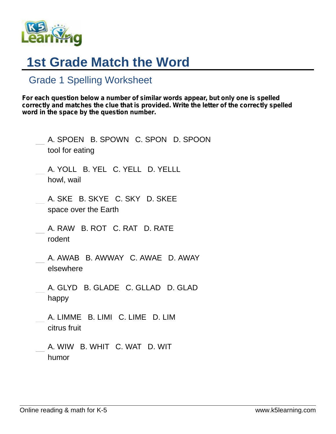

## **1st Grade Match the Word**

## Grade 1 Spelling Worksheet

*For each question below a number of similar words appear, but only one is spelled correctly and matches the clue that is provided. Write the letter of the correctly spelled word in the space by the question number.*

| A. SPOEN B. SPOWN C. SPON D. SPOON<br>tool for eating |
|-------------------------------------------------------|
| A. YOLL B. YEL C. YELL D. YELLL<br>howl, wail         |
| A. SKE B. SKYE C. SKY D. SKEE<br>space over the Earth |
| A. RAW B. ROT C. RAT D. RATE<br>rodent                |
| A. AWAB B. AWWAY C. AWAE D. AWAY<br>elsewhere         |
| A. GLYD B. GLADE C. GLLAD D. GLAD<br>happy            |
| A. LIMME B. LIMI C. LIME D. LIM<br>citrus fruit       |
| A. WIW B. WHIT C. WAT D. WIT<br>humor                 |